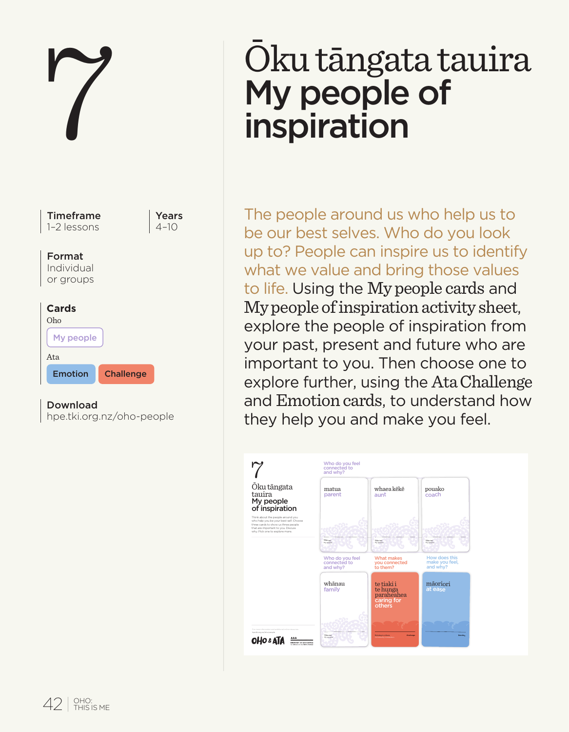

#### Download

| hpe.tki.org.nz/oho-people |  |
|---------------------------|--|
|---------------------------|--|

# Oku tāngata tauira My people of inspiration

The people around us who help us to be our best selves. Who do you look up to? People can inspire us to identify what we value and bring those values to life. Using the My people cards and My people of inspiration activity sheet, explore the people of inspiration from your past, present and future who are important to you. Then choose one to explore further, using the Ata Challenge and Emotion cards, to understand how they help you and make you feel.

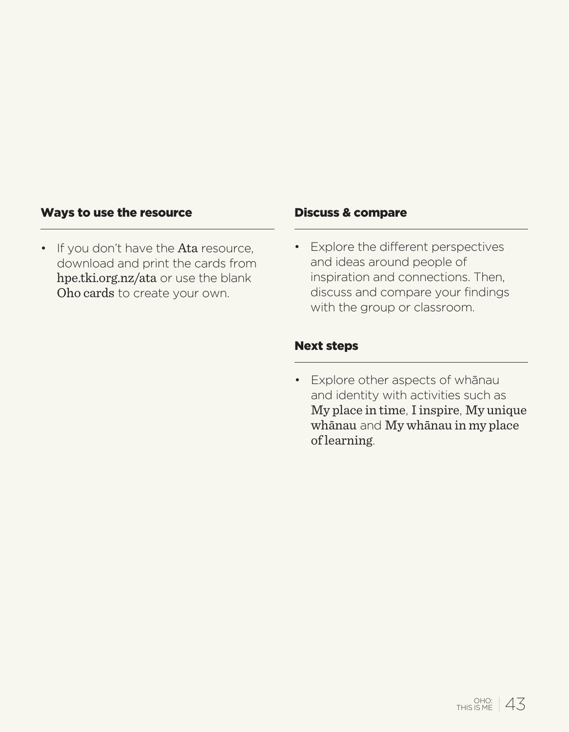### Ways to use the resource

• If you don't have the Ata resource, download and print the cards from hpe.tki.org.nz/ata or use the blank Oho cards to create your own.

#### Discuss & compare

• Explore the different perspectives and ideas around people of inspiration and connections. Then, discuss and compare your findings with the group or classroom.

## Next steps

• Explore other aspects of whānau and identity with activities such as My place in time, I inspire, My unique whānau and My whānau in my place of learning.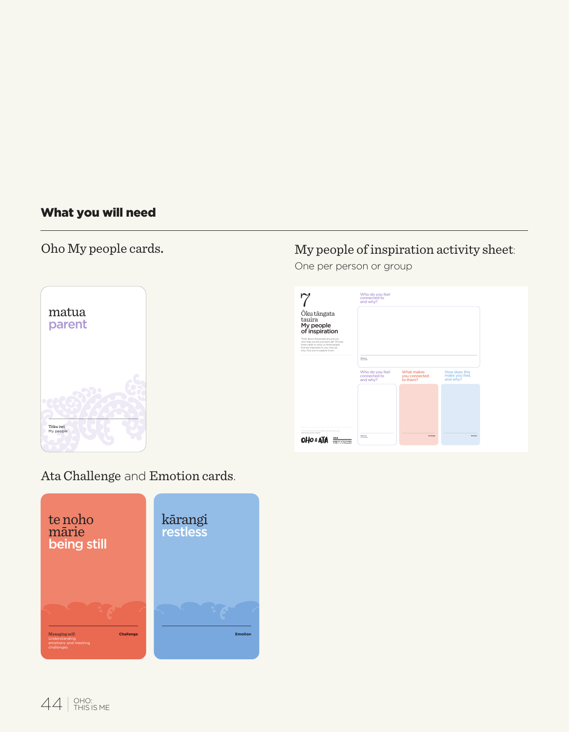## What you will need

## Oho My people cards.



## My people of inspiration activity sheet:

One per person or group



## Ata Challenge and Emotion cards.